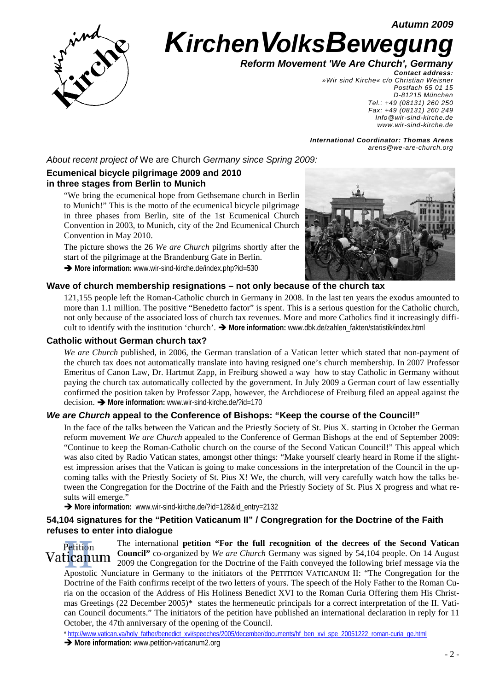*Autumn 2009*



# **Kirchen VolksBewegu**

 *Reform Movement 'We Are Church', Germany*

*Contact address: »Wir sind Kirche« c/o Christian Weisner Postfach 65 01 15 D-81215 München Tel.: +49 (08131) 260 250 Fax: +49 (08131) 260 249 Info@wir-sind-kirche.de www.wir-sind-kirche.de*

*International Coordinator: Thomas Arens arens@we-are-church.org*

*About recent project of* We are Church *Germany since Spring 2009:* 

# **Ecumenical bicycle pilgrimage 2009 and 2010 in three stages from Berlin to Munich**

"We bring the ecumenical hope from Gethsemane church in Berlin to Munich!" This is the motto of the ecumenical bicycle pilgrimage in three phases from Berlin, site of the 1st Ecumenical Church Convention in 2003, to Munich, city of the 2nd Ecumenical Church Convention in May 2010.

The picture shows the 26 *We are Church* pilgrims shortly after the start of the pilgrimage at the Brandenburg Gate in Berlin.

Î **More information:** www.wir-sind-kirche.de/index.php?id=530



## **Wave of church membership resignations – not only because of the church tax**

121,155 people left the Roman-Catholic church in Germany in 2008. In the last ten years the exodus amounted to more than 1.1 million. The positive "Benedetto factor" is spent. This is a serious question for the Catholic church, not only because of the associated loss of church tax revenues. More and more Catholics find it increasingly difficult to identify with the institution 'church'.  $\rightarrow$  More information: www.dbk.de/zahlen\_fakten/statistik/index.html

## **Catholic without German church tax?**

*We are Church* published, in 2006, the German translation of a Vatican letter which stated that non-payment of the church tax does not automatically translate into having resigned one's church membership. In 2007 Professor Emeritus of Canon Law, Dr. Hartmut Zapp, in Freiburg showed a way how to stay Catholic in Germany without paying the church tax automatically collected by the government. In July 2009 a German court of law essentially confirmed the position taken by Professor Zapp, however, the Archdiocese of Freiburg filed an appeal against the decision.  $\rightarrow$  More information: www.wir-sind-kirche.de/?id=170

## *We are Church* **appeal to the Conference of Bishops: "Keep the course of the Council!"**

In the face of the talks between the Vatican and the Priestly Society of St. Pius X. starting in October the German reform movement *We are Church* appealed to the Conference of German Bishops at the end of September 2009: "Continue to keep the Roman-Catholic church on the course of the Second Vatican Council!" This appeal which was also cited by Radio Vatican states, amongst other things: "Make yourself clearly heard in Rome if the slightest impression arises that the Vatican is going to make concessions in the interpretation of the Council in the upcoming talks with the Priestly Society of St. Pius X! We, the church, will very carefully watch how the talks between the Congregation for the Doctrine of the Faith and the Priestly Society of St. Pius X progress and what results will emerge."

→ More information: www.wir-sind-kirche.de/?id=128&id\_entry=2132

## **54,104 signatures for the "Petition Vaticanum II" / Congregration for the Doctrine of the Faith refuses to enter into dialogue**

The international **petition "For the full recognition of the decrees of the Second Vatican**  Petition **Council"** co-organized by *We are Church* Germany was signed by 54,104 people. On 14 August Vaticanum 2009 the Congregation for the Doctrine of the Faith conveyed the following brief message via the Apostolic Nunciature in Germany to the initiators of the PETITION VATICANUM II: "The Congregation for the Doctrine of the Faith confirms receipt of the two letters of yours. The speech of the Holy Father to the Roman Curia on the occasion of the Address of His Holiness Benedict XVI to the Roman Curia Offering them His Christmas Greetings (22 December 2005)\* states the hermeneutic principals for a correct interpretation of the II. Vatican Council documents." The initiators of the petition have published an international declaration in reply for 11 October, the 47th anniversary of the opening of the Council.

\* http://www.vatican.va/holy\_father/benedict\_xvi/speeches/2005/december/documents/hf\_ben\_xvi\_spe\_20051222\_roman-curia\_ge.html